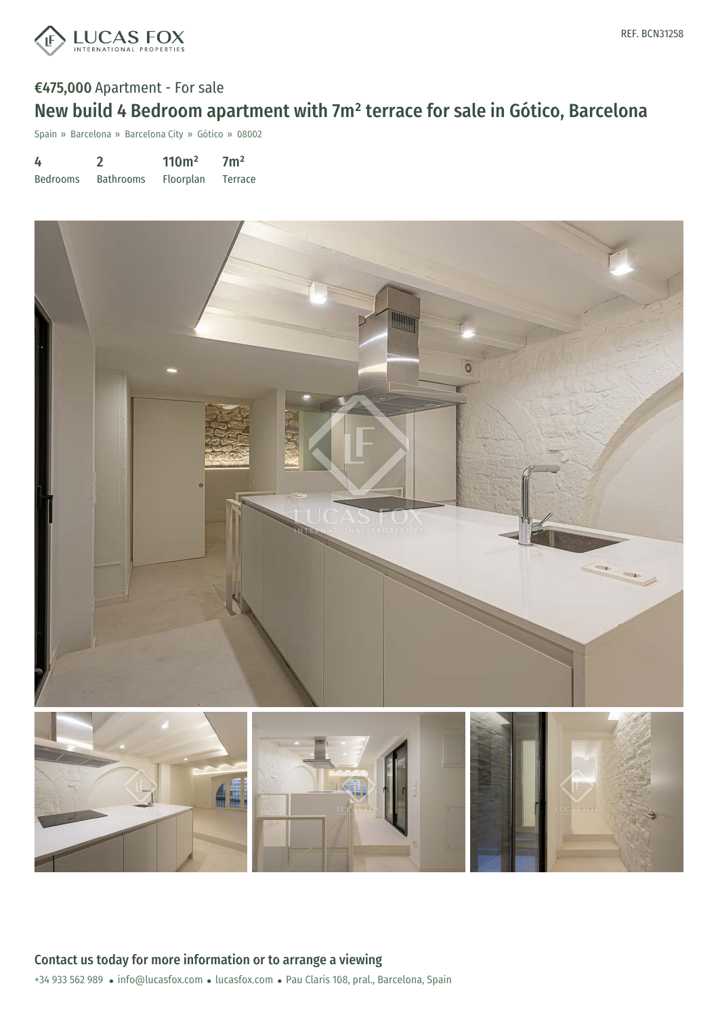

## €475,000 Apartment - For sale New build 4 Bedroom apartment with 7m² terrace for sale in Gótico, Barcelona

Spain » Barcelona » Barcelona City » Gótico » 08002

| 4               |                  | 110 <sup>m²</sup> | 7 <sup>m²</sup> |
|-----------------|------------------|-------------------|-----------------|
| <b>Bedrooms</b> | <b>Bathrooms</b> | <b>Floorplan</b>  | Terrace         |

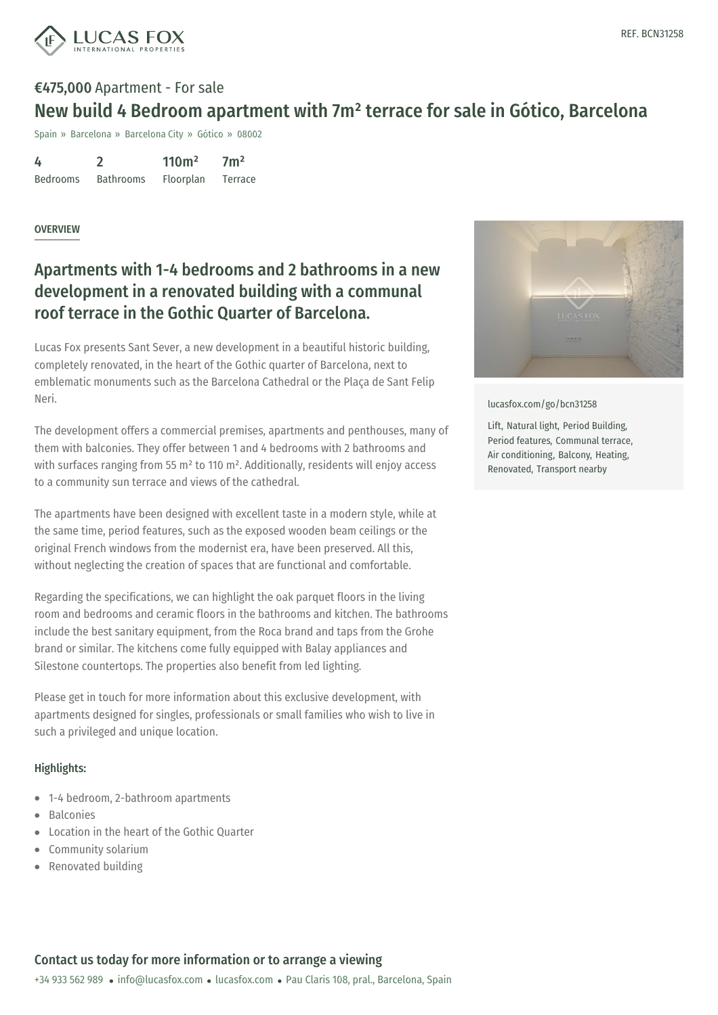

# €475,000 Apartment - For sale New build 4 Bedroom apartment with 7m² terrace for sale in Gótico, Barcelona

Spain » Barcelona » Barcelona City » Gótico » 08002

4 Bedrooms 2 Bathrooms 110m² Floorplan  $7<sup>m²</sup>$ Terrace

#### OVERVIEW

## Apartments with 1-4 bedrooms and 2 bathrooms in a new development in a renovated building with a communal roof terrace in the Gothic Quarter of Barcelona.

Lucas Fox presents Sant Sever, a new development in a beautiful historic building, completely renovated, in the heart of the Gothic quarter of Barcelona, next to emblematic monuments such as the Barcelona Cathedral or the Plaça de Sant Felip Neri.

The development offers a commercial premises, apartments and penthouses, many of them with balconies. They offer between 1 and 4 bedrooms with 2 bathrooms and with surfaces ranging from 55 m<sup>2</sup> to 110 m<sup>2</sup>. Additionally, residents will enjoy access to a community sun terrace and views of the cathedral.

The apartments have been designed with excellent taste in a modern style, while at the same time, period features, such as the exposed wooden beam ceilings or the original French windows from the modernist era, have been preserved. All this, without neglecting the creation of spaces that are functional and comfortable.

Regarding the specifications, we can highlight the oak parquet floors in the living room and bedrooms and ceramic floors in the bathrooms and kitchen. The bathrooms include the best sanitary equipment, from the Roca brand and taps from the Grohe brand or similar. The kitchens come fully equipped with Balay appliances and Silestone countertops. The properties also benefit from led lighting.

Please get in touch for more information about this exclusive development, with apartments designed for singles, professionals or small families who wish to live in such a privileged and unique location.

### Highlights:

- 1-4 bedroom, 2-bathroom apartments
- Balconies
- Location in the heart of the Gothic Quarter
- Community solarium
- Renovated building



[lucasfox.com/go/bcn31258](https://www.lucasfox.com/go/bcn31258)

Lift, Natural light, Period Building, Period features, Communal terrace, Air conditioning, Balcony, Heating, Renovated, Transport nearby

### Contact us today for more information or to arrange a viewing